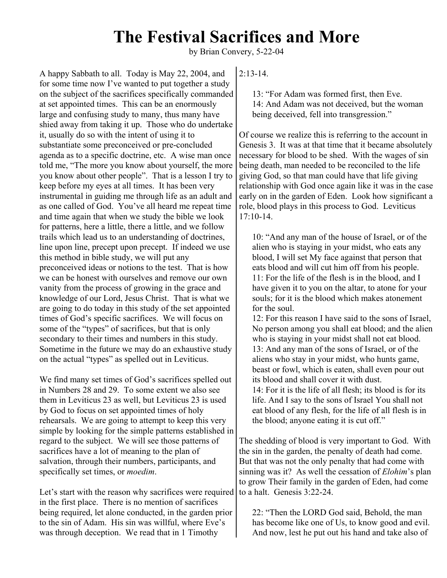## **The Festival Sacrifices and More**

by Brian Convery, 5-22-04

A happy Sabbath to all. Today is May 22, 2004, and for some time now I've wanted to put together a study on the subject of the sacrifices specifically commanded at set appointed times. This can be an enormously large and confusing study to many, thus many have shied away from taking it up. Those who do undertake it, usually do so with the intent of using it to substantiate some preconceived or pre-concluded agenda as to a specific doctrine, etc. A wise man once told me, "The more you know about yourself, the more you know about other people". That is a lesson I try to keep before my eyes at all times. It has been very instrumental in guiding me through life as an adult and as one called of God. You've all heard me repeat time and time again that when we study the bible we look for patterns, here a little, there a little, and we follow trails which lead us to an understanding of doctrines, line upon line, precept upon precept. If indeed we use this method in bible study, we will put any preconceived ideas or notions to the test. That is how we can be honest with ourselves and remove our own vanity from the process of growing in the grace and knowledge of our Lord, Jesus Christ. That is what we are going to do today in this study of the set appointed times of God's specific sacrifices. We will focus on some of the "types" of sacrifices, but that is only secondary to their times and numbers in this study. Sometime in the future we may do an exhaustive study on the actual "types" as spelled out in Leviticus.

We find many set times of God's sacrifices spelled out in Numbers 28 and 29. To some extent we also see them in Leviticus 23 as well, but Leviticus 23 is used by God to focus on set appointed times of holy rehearsals. We are going to attempt to keep this very simple by looking for the simple patterns established in regard to the subject. We will see those patterns of sacrifices have a lot of meaning to the plan of salvation, through their numbers, participants, and specifically set times, or *moedim*.

Let's start with the reason why sacrifices were required in the first place. There is no mention of sacrifices being required, let alone conducted, in the garden prior to the sin of Adam. His sin was willful, where Eve's was through deception. We read that in 1 Timothy

 $2.13 - 14$ 

13: "For Adam was formed first, then Eve. 14: And Adam was not deceived, but the woman being deceived, fell into transgression."

Of course we realize this is referring to the account in Genesis 3. It was at that time that it became absolutely necessary for blood to be shed. With the wages of sin being death, man needed to be reconciled to the life giving God, so that man could have that life giving relationship with God once again like it was in the case early on in the garden of Eden. Look how significant a role, blood plays in this process to God. Leviticus 17:10-14.

10: "And any man of the house of Israel, or of the alien who is staying in your midst, who eats any blood, I will set My face against that person that eats blood and will cut him off from his people. 11: For the life of the flesh is in the blood, and I have given it to you on the altar, to atone for your souls; for it is the blood which makes atonement for the soul.

12: For this reason I have said to the sons of Israel, No person among you shall eat blood; and the alien who is staying in your midst shall not eat blood. 13: And any man of the sons of Israel, or of the aliens who stay in your midst, who hunts game, beast or fowl, which is eaten, shall even pour out its blood and shall cover it with dust. 14: For it is the life of all flesh; its blood is for its

life. And I say to the sons of Israel You shall not eat blood of any flesh, for the life of all flesh is in the blood; anyone eating it is cut off."

The shedding of blood is very important to God. With the sin in the garden, the penalty of death had come. But that was not the only penalty that had come with sinning was it? As well the cessation of *Elohim*'s plan to grow Their family in the garden of Eden, had come to a halt. Genesis  $3.22-24$ .

22: "Then the LORD God said, Behold, the man has become like one of Us, to know good and evil. And now, lest he put out his hand and take also of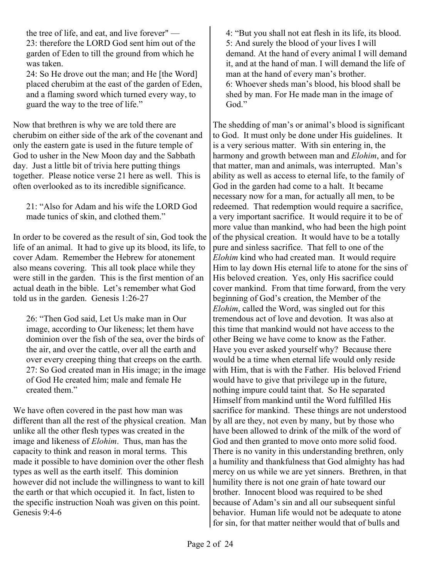the tree of life, and eat, and live forever" — 23: therefore the LORD God sent him out of the garden of Eden to till the ground from which he was taken.

24: So He drove out the man; and He [the Word] placed cherubim at the east of the garden of Eden, and a flaming sword which turned every way, to guard the way to the tree of life."

Now that brethren is why we are told there are cherubim on either side of the ark of the covenant and only the eastern gate is used in the future temple of God to usher in the New Moon day and the Sabbath day. Just a little bit of trivia here putting things together. Please notice verse 21 here as well. This is often overlooked as to its incredible significance.

21: "Also for Adam and his wife the LORD God made tunics of skin, and clothed them."

In order to be covered as the result of sin, God took the life of an animal. It had to give up its blood, its life, to cover Adam. Remember the Hebrew for atonement also means covering. This all took place while they were still in the garden. This is the first mention of an actual death in the bible. Let's remember what God told us in the garden. Genesis 1:26-27

26: "Then God said, Let Us make man in Our image, according to Our likeness; let them have dominion over the fish of the sea, over the birds of the air, and over the cattle, over all the earth and over every creeping thing that creeps on the earth. 27: So God created man in His image; in the image of God He created him; male and female He created them."

We have often covered in the past how man was different than all the rest of the physical creation. Man unlike all the other flesh types was created in the image and likeness of *Elohim*. Thus, man has the capacity to think and reason in moral terms. This made it possible to have dominion over the other flesh types as well as the earth itself. This dominion however did not include the willingness to want to kill the earth or that which occupied it. In fact, listen to the specific instruction Noah was given on this point. Genesis 9:4-6

4: "But you shall not eat flesh in its life, its blood. 5: And surely the blood of your lives I will demand. At the hand of every animal I will demand it, and at the hand of man. I will demand the life of man at the hand of every man's brother. 6: Whoever sheds man's blood, his blood shall be shed by man. For He made man in the image of God<sup>"</sup>

The shedding of man's or animal's blood is significant to God. It must only be done under His guidelines. It is a very serious matter. With sin entering in, the harmony and growth between man and *Elohim*, and for that matter, man and animals, was interrupted. Man's ability as well as access to eternal life, to the family of God in the garden had come to a halt. It became necessary now for a man, for actually all men, to be redeemed. That redemption would require a sacrifice, a very important sacrifice. It would require it to be of more value than mankind, who had been the high point of the physical creation. It would have to be a totally pure and sinless sacrifice. That fell to one of the *Elohim* kind who had created man. It would require Him to lay down His eternal life to atone for the sins of His beloved creation. Yes, only His sacrifice could cover mankind. From that time forward, from the very beginning of God's creation, the Member of the *Elohim*, called the Word, was singled out for this tremendous act of love and devotion. It was also at this time that mankind would not have access to the other Being we have come to know as the Father. Have you ever asked yourself why? Because there would be a time when eternal life would only reside with Him, that is with the Father. His beloved Friend would have to give that privilege up in the future, nothing impure could taint that. So He separated Himself from mankind until the Word fulfilled His sacrifice for mankind. These things are not understood by all are they, not even by many, but by those who have been allowed to drink of the milk of the word of God and then granted to move onto more solid food. There is no vanity in this understanding brethren, only a humility and thankfulness that God almighty has had mercy on us while we are yet sinners. Brethren, in that humility there is not one grain of hate toward our brother. Innocent blood was required to be shed because of Adam's sin and all our subsequent sinful behavior. Human life would not be adequate to atone for sin, for that matter neither would that of bulls and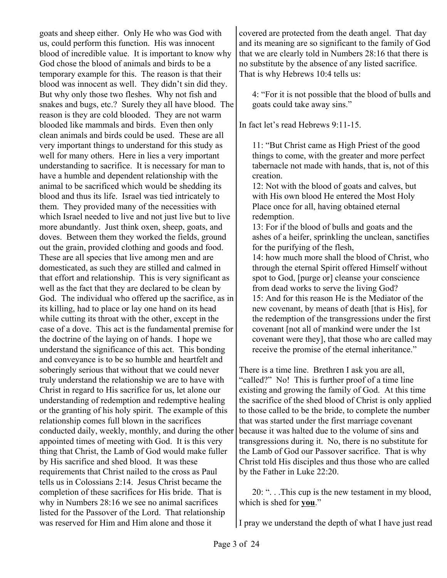goats and sheep either. Only He who was God with us, could perform this function. His was innocent blood of incredible value. It is important to know why God chose the blood of animals and birds to be a temporary example for this. The reason is that their blood was innocent as well. They didn't sin did they. But why only those two fleshes. Why not fish and snakes and bugs, etc.? Surely they all have blood. The reason is they are cold blooded. They are not warm blooded like mammals and birds. Even then only clean animals and birds could be used. These are all very important things to understand for this study as well for many others. Here in lies a very important understanding to sacrifice. It is necessary for man to have a humble and dependent relationship with the animal to be sacrificed which would be shedding its blood and thus its life. Israel was tied intricately to them. They provided many of the necessities with which Israel needed to live and not just live but to live more abundantly. Just think oxen, sheep, goats, and doves. Between them they worked the fields, ground out the grain, provided clothing and goods and food. These are all species that live among men and are domesticated, as such they are stilled and calmed in that effort and relationship. This is very significant as well as the fact that they are declared to be clean by God. The individual who offered up the sacrifice, as in its killing, had to place or lay one hand on its head while cutting its throat with the other, except in the case of a dove. This act is the fundamental premise for the doctrine of the laying on of hands. I hope we understand the significance of this act. This bonding and conveyance is to be so humble and heartfelt and soberingly serious that without that we could never truly understand the relationship we are to have with Christ in regard to His sacrifice for us, let alone our understanding of redemption and redemptive healing or the granting of his holy spirit. The example of this relationship comes full blown in the sacrifices conducted daily, weekly, monthly, and during the other appointed times of meeting with God. It is this very thing that Christ, the Lamb of God would make fuller by His sacrifice and shed blood. It was these requirements that Christ nailed to the cross as Paul tells us in Colossians 2:14. Jesus Christ became the completion of these sacrifices for His bride. That is why in Numbers 28:16 we see no animal sacrifices listed for the Passover of the Lord. That relationship was reserved for Him and Him alone and those it

covered are protected from the death angel. That day and its meaning are so significant to the family of God that we are clearly told in Numbers 28:16 that there is no substitute by the absence of any listed sacrifice. That is why Hebrews 10:4 tells us:

4: "For it is not possible that the blood of bulls and goats could take away sins."

In fact let's read Hebrews 9:11-15.

11: "But Christ came as High Priest of the good things to come, with the greater and more perfect tabernacle not made with hands, that is, not of this creation.

12: Not with the blood of goats and calves, but with His own blood He entered the Most Holy Place once for all, having obtained eternal redemption.

13: For if the blood of bulls and goats and the ashes of a heifer, sprinkling the unclean, sanctifies for the purifying of the flesh,

14: how much more shall the blood of Christ, who through the eternal Spirit offered Himself without spot to God, [purge or] cleanse your conscience from dead works to serve the living God? 15: And for this reason He is the Mediator of the new covenant, by means of death [that is His], for the redemption of the transgressions under the first covenant [not all of mankind were under the 1st covenant were they], that those who are called may receive the promise of the eternal inheritance."

There is a time line. Brethren I ask you are all, "called?" No! This is further proof of a time line existing and growing the family of God. At this time the sacrifice of the shed blood of Christ is only applied to those called to be the bride, to complete the number that was started under the first marriage covenant because it was halted due to the volume of sins and transgressions during it. No, there is no substitute for the Lamb of God our Passover sacrifice. That is why Christ told His disciples and thus those who are called by the Father in Luke 22:20.

20: ". . .This cup is the new testament in my blood, which is shed for **you**."

I pray we understand the depth of what I have just read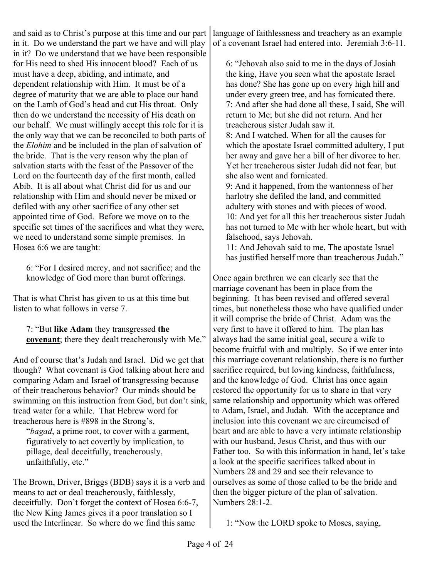and said as to Christ's purpose at this time and our part in it. Do we understand the part we have and will play in it? Do we understand that we have been responsible for His need to shed His innocent blood? Each of us must have a deep, abiding, and intimate, and dependent relationship with Him. It must be of a degree of maturity that we are able to place our hand on the Lamb of God's head and cut His throat. Only then do we understand the necessity of His death on our behalf. We must willingly accept this role for it is the only way that we can be reconciled to both parts of the *Elohim* and be included in the plan of salvation of the bride. That is the very reason why the plan of salvation starts with the feast of the Passover of the Lord on the fourteenth day of the first month, called Abib. It is all about what Christ did for us and our relationship with Him and should never be mixed or defiled with any other sacrifice of any other set appointed time of God. Before we move on to the specific set times of the sacrifices and what they were, we need to understand some simple premises. In Hosea 6:6 we are taught:

6: "For I desired mercy, and not sacrifice; and the knowledge of God more than burnt offerings.

That is what Christ has given to us at this time but listen to what follows in verse 7.

7: "But **like Adam** they transgressed **the covenant**; there they dealt treacherously with Me."

And of course that's Judah and Israel. Did we get that though? What covenant is God talking about here and comparing Adam and Israel of transgressing because of their treacherous behavior? Our minds should be swimming on this instruction from God, but don't sink, tread water for a while. That Hebrew word for treacherous here is #898 in the Strong's,

"*bagad*, a prime root, to cover with a garment, figuratively to act covertly by implication, to pillage, deal deceitfully, treacherously, unfaithfully, etc."

The Brown, Driver, Briggs (BDB) says it is a verb and means to act or deal treacherously, faithlessly, deceitfully. Don't forget the context of Hosea 6:6-7, the New King James gives it a poor translation so I used the Interlinear. So where do we find this same

language of faithlessness and treachery as an example of a covenant Israel had entered into. Jeremiah 3:6-11.

6: "Jehovah also said to me in the days of Josiah the king, Have you seen what the apostate Israel has done? She has gone up on every high hill and under every green tree, and has fornicated there. 7: And after she had done all these, I said, She will return to Me; but she did not return. And her treacherous sister Judah saw it. 8: And I watched. When for all the causes for

which the apostate Israel committed adultery, I put her away and gave her a bill of her divorce to her. Yet her treacherous sister Judah did not fear, but she also went and fornicated.

9: And it happened, from the wantonness of her harlotry she defiled the land, and committed adultery with stones and with pieces of wood. 10: And yet for all this her treacherous sister Judah has not turned to Me with her whole heart, but with falsehood, says Jehovah.

11: And Jehovah said to me, The apostate Israel has justified herself more than treacherous Judah."

Once again brethren we can clearly see that the marriage covenant has been in place from the beginning. It has been revised and offered several times, but nonetheless those who have qualified under it will comprise the bride of Christ. Adam was the very first to have it offered to him. The plan has always had the same initial goal, secure a wife to become fruitful with and multiply. So if we enter into this marriage covenant relationship, there is no further sacrifice required, but loving kindness, faithfulness, and the knowledge of God. Christ has once again restored the opportunity for us to share in that very same relationship and opportunity which was offered to Adam, Israel, and Judah. With the acceptance and inclusion into this covenant we are circumcised of heart and are able to have a very intimate relationship with our husband, Jesus Christ, and thus with our Father too. So with this information in hand, let's take a look at the specific sacrifices talked about in Numbers 28 and 29 and see their relevance to ourselves as some of those called to be the bride and then the bigger picture of the plan of salvation. Numbers 28:1-2.

1: "Now the LORD spoke to Moses, saying,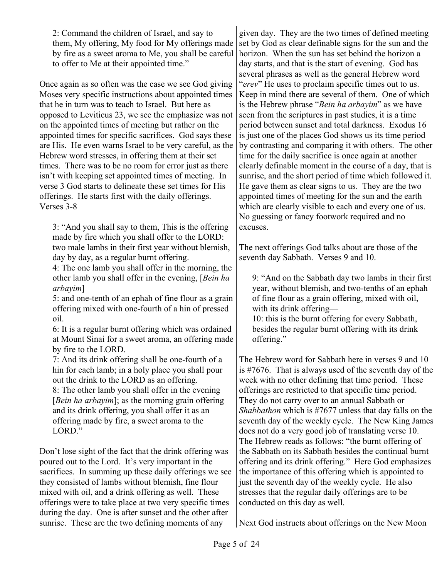2: Command the children of Israel, and say to them, My offering, My food for My offerings made by fire as a sweet aroma to Me, you shall be careful to offer to Me at their appointed time."

Once again as so often was the case we see God giving Moses very specific instructions about appointed times that he in turn was to teach to Israel. But here as opposed to Leviticus 23, we see the emphasize was not on the appointed times of meeting but rather on the appointed times for specific sacrifices. God says these are His. He even warns Israel to be very careful, as the Hebrew word stresses, in offering them at their set times. There was to be no room for error just as there isn't with keeping set appointed times of meeting. In verse 3 God starts to delineate these set times for His offerings. He starts first with the daily offerings. Verses 3-8

3: "And you shall say to them, This is the offering made by fire which you shall offer to the LORD: two male lambs in their first year without blemish, day by day, as a regular burnt offering.

4: The one lamb you shall offer in the morning, the other lamb you shall offer in the evening, [*Bein ha arbayim*]

5: and one-tenth of an ephah of fine flour as a grain offering mixed with one-fourth of a hin of pressed oil.

6: It is a regular burnt offering which was ordained at Mount Sinai for a sweet aroma, an offering made by fire to the LORD.

7: And its drink offering shall be one-fourth of a hin for each lamb; in a holy place you shall pour out the drink to the LORD as an offering.

8: The other lamb you shall offer in the evening [*Bein ha arbayim*]; as the morning grain offering and its drink offering, you shall offer it as an offering made by fire, a sweet aroma to the LORD."

Don't lose sight of the fact that the drink offering was poured out to the Lord. It's very important in the sacrifices. In summing up these daily offerings we see they consisted of lambs without blemish, fine flour mixed with oil, and a drink offering as well. These offerings were to take place at two very specific times during the day. One is after sunset and the other after sunrise. These are the two defining moments of any

given day. They are the two times of defined meeting set by God as clear definable signs for the sun and the horizon. When the sun has set behind the horizon a day starts, and that is the start of evening. God has several phrases as well as the general Hebrew word "*erev*" He uses to proclaim specific times out to us. Keep in mind there are several of them. One of which is the Hebrew phrase "*Bein ha arbayim*" as we have seen from the scriptures in past studies, it is a time period between sunset and total darkness. Exodus 16 is just one of the places God shows us its time period by contrasting and comparing it with others. The other time for the daily sacrifice is once again at another clearly definable moment in the course of a day, that is sunrise, and the short period of time which followed it. He gave them as clear signs to us. They are the two appointed times of meeting for the sun and the earth which are clearly visible to each and every one of us. No guessing or fancy footwork required and no excuses.

The next offerings God talks about are those of the seventh day Sabbath. Verses 9 and 10.

9: "And on the Sabbath day two lambs in their first year, without blemish, and two-tenths of an ephah of fine flour as a grain offering, mixed with oil, with its drink offering—

10: this is the burnt offering for every Sabbath, besides the regular burnt offering with its drink offering."

The Hebrew word for Sabbath here in verses 9 and 10 is #7676. That is always used of the seventh day of the week with no other defining that time period. These offerings are restricted to that specific time period. They do not carry over to an annual Sabbath or *Shabbathon* which is #7677 unless that day falls on the seventh day of the weekly cycle. The New King James does not do a very good job of translating verse 10. The Hebrew reads as follows: "the burnt offering of the Sabbath on its Sabbath besides the continual burnt offering and its drink offering." Here God emphasizes the importance of this offering which is appointed to just the seventh day of the weekly cycle. He also stresses that the regular daily offerings are to be conducted on this day as well.

Next God instructs about offerings on the New Moon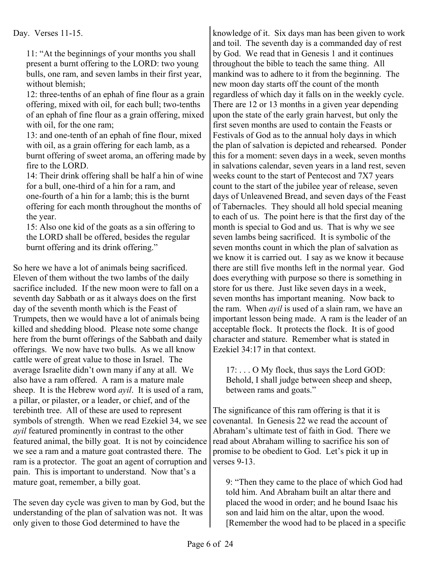Day. Verses 11-15.

11: "At the beginnings of your months you shall present a burnt offering to the LORD: two young bulls, one ram, and seven lambs in their first year, without blemish;

12: three-tenths of an ephah of fine flour as a grain offering, mixed with oil, for each bull; two-tenths of an ephah of fine flour as a grain offering, mixed with oil, for the one ram;

13: and one-tenth of an ephah of fine flour, mixed with oil, as a grain offering for each lamb, as a burnt offering of sweet aroma, an offering made by fire to the LORD.

14: Their drink offering shall be half a hin of wine for a bull, one-third of a hin for a ram, and one-fourth of a hin for a lamb; this is the burnt offering for each month throughout the months of the year.

15: Also one kid of the goats as a sin offering to the LORD shall be offered, besides the regular burnt offering and its drink offering."

So here we have a lot of animals being sacrificed. Eleven of them without the two lambs of the daily sacrifice included. If the new moon were to fall on a seventh day Sabbath or as it always does on the first day of the seventh month which is the Feast of Trumpets, then we would have a lot of animals being killed and shedding blood. Please note some change here from the burnt offerings of the Sabbath and daily offerings. We now have two bulls. As we all know cattle were of great value to those in Israel. The average Israelite didn't own many if any at all. We also have a ram offered. A ram is a mature male sheep. It is the Hebrew word *ayil*. It is used of a ram, a pillar, or pilaster, or a leader, or chief, and of the terebinth tree. All of these are used to represent symbols of strength. When we read Ezekiel 34, we see *ayil* featured prominently in contrast to the other featured animal, the billy goat. It is not by coincidence we see a ram and a mature goat contrasted there. The ram is a protector. The goat an agent of corruption and pain. This is important to understand. Now that's a mature goat, remember, a billy goat.

The seven day cycle was given to man by God, but the understanding of the plan of salvation was not. It was only given to those God determined to have the

knowledge of it. Six days man has been given to work and toil. The seventh day is a commanded day of rest by God. We read that in Genesis 1 and it continues throughout the bible to teach the same thing. All mankind was to adhere to it from the beginning. The new moon day starts off the count of the month regardless of which day it falls on in the weekly cycle. There are 12 or 13 months in a given year depending upon the state of the early grain harvest, but only the first seven months are used to contain the Feasts or Festivals of God as to the annual holy days in which the plan of salvation is depicted and rehearsed. Ponder this for a moment: seven days in a week, seven months in salvations calendar, seven years in a land rest, seven weeks count to the start of Pentecost and 7X7 years count to the start of the jubilee year of release, seven days of Unleavened Bread, and seven days of the Feast of Tabernacles. They should all hold special meaning to each of us. The point here is that the first day of the month is special to God and us. That is why we see seven lambs being sacrificed. It is symbolic of the seven months count in which the plan of salvation as we know it is carried out. I say as we know it because there are still five months left in the normal year. God does everything with purpose so there is something in store for us there. Just like seven days in a week, seven months has important meaning. Now back to the ram. When *ayil* is used of a slain ram, we have an important lesson being made. A ram is the leader of an acceptable flock. It protects the flock. It is of good character and stature. Remember what is stated in Ezekiel 34:17 in that context.

17: . . . O My flock, thus says the Lord GOD: Behold, I shall judge between sheep and sheep, between rams and goats."

The significance of this ram offering is that it is covenantal. In Genesis 22 we read the account of Abraham's ultimate test of faith in God. There we read about Abraham willing to sacrifice his son of promise to be obedient to God. Let's pick it up in verses 9-13.

9: "Then they came to the place of which God had told him. And Abraham built an altar there and placed the wood in order; and he bound Isaac his son and laid him on the altar, upon the wood. [Remember the wood had to be placed in a specific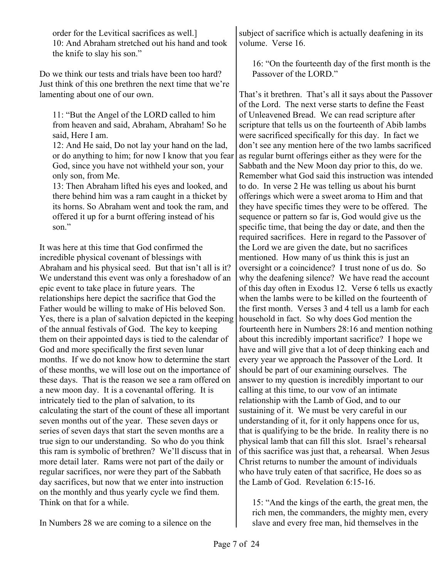order for the Levitical sacrifices as well.] 10: And Abraham stretched out his hand and took the knife to slay his son."

Do we think our tests and trials have been too hard? Just think of this one brethren the next time that we're lamenting about one of our own.

11: "But the Angel of the LORD called to him from heaven and said, Abraham, Abraham! So he said, Here I am.

12: And He said, Do not lay your hand on the lad, or do anything to him; for now I know that you fear God, since you have not withheld your son, your only son, from Me.

13: Then Abraham lifted his eyes and looked, and there behind him was a ram caught in a thicket by its horns. So Abraham went and took the ram, and offered it up for a burnt offering instead of his son."

It was here at this time that God confirmed the incredible physical covenant of blessings with Abraham and his physical seed. But that isn't all is it? We understand this event was only a foreshadow of an epic event to take place in future years. The relationships here depict the sacrifice that God the Father would be willing to make of His beloved Son. Yes, there is a plan of salvation depicted in the keeping of the annual festivals of God. The key to keeping them on their appointed days is tied to the calendar of God and more specifically the first seven lunar months. If we do not know how to determine the start of these months, we will lose out on the importance of these days. That is the reason we see a ram offered on a new moon day. It is a covenantal offering. It is intricately tied to the plan of salvation, to its calculating the start of the count of these all important seven months out of the year. These seven days or series of seven days that start the seven months are a true sign to our understanding. So who do you think this ram is symbolic of brethren? We'll discuss that in more detail later. Rams were not part of the daily or regular sacrifices, nor were they part of the Sabbath day sacrifices, but now that we enter into instruction on the monthly and thus yearly cycle we find them. Think on that for a while.

In Numbers 28 we are coming to a silence on the

subject of sacrifice which is actually deafening in its volume. Verse 16.

16: "On the fourteenth day of the first month is the Passover of the LORD."

That's it brethren. That's all it says about the Passover of the Lord. The next verse starts to define the Feast of Unleavened Bread. We can read scripture after scripture that tells us on the fourteenth of Abib lambs were sacrificed specifically for this day. In fact we don't see any mention here of the two lambs sacrificed as regular burnt offerings either as they were for the Sabbath and the New Moon day prior to this, do we. Remember what God said this instruction was intended to do. In verse 2 He was telling us about his burnt offerings which were a sweet aroma to Him and that they have specific times they were to be offered. The sequence or pattern so far is, God would give us the specific time, that being the day or date, and then the required sacrifices. Here in regard to the Passover of the Lord we are given the date, but no sacrifices mentioned. How many of us think this is just an oversight or a coincidence? I trust none of us do. So why the deafening silence? We have read the account of this day often in Exodus 12. Verse 6 tells us exactly when the lambs were to be killed on the fourteenth of the first month. Verses 3 and 4 tell us a lamb for each household in fact. So why does God mention the fourteenth here in Numbers 28:16 and mention nothing about this incredibly important sacrifice? I hope we have and will give that a lot of deep thinking each and every year we approach the Passover of the Lord. It should be part of our examining ourselves. The answer to my question is incredibly important to our calling at this time, to our vow of an intimate relationship with the Lamb of God, and to our sustaining of it. We must be very careful in our understanding of it, for it only happens once for us, that is qualifying to be the bride. In reality there is no physical lamb that can fill this slot. Israel's rehearsal of this sacrifice was just that, a rehearsal. When Jesus Christ returns to number the amount of individuals who have truly eaten of that sacrifice, He does so as the Lamb of God. Revelation 6:15-16.

15: "And the kings of the earth, the great men, the rich men, the commanders, the mighty men, every slave and every free man, hid themselves in the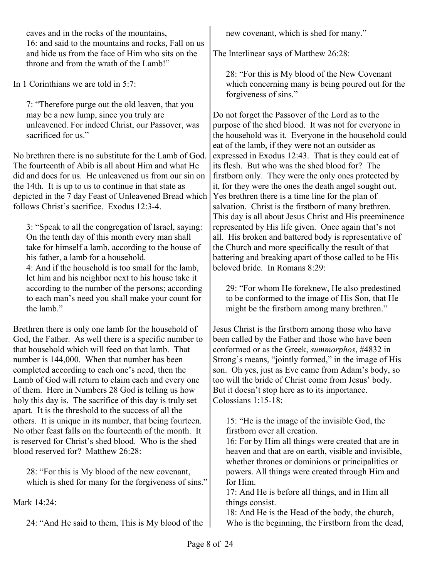caves and in the rocks of the mountains, 16: and said to the mountains and rocks, Fall on us and hide us from the face of Him who sits on the throne and from the wrath of the Lamb!"

In 1 Corinthians we are told in 5:7:

7: "Therefore purge out the old leaven, that you may be a new lump, since you truly are unleavened. For indeed Christ, our Passover, was sacrificed for us<sup>"</sup>

No brethren there is no substitute for the Lamb of God. The fourteenth of Abib is all about Him and what He did and does for us. He unleavened us from our sin on the 14th. It is up to us to continue in that state as depicted in the 7 day Feast of Unleavened Bread which follows Christ's sacrifice. Exodus 12:3-4.

3: "Speak to all the congregation of Israel, saying: On the tenth day of this month every man shall take for himself a lamb, according to the house of his father, a lamb for a household.

4: And if the household is too small for the lamb, let him and his neighbor next to his house take it according to the number of the persons; according to each man's need you shall make your count for the lamb"

Brethren there is only one lamb for the household of God, the Father. As well there is a specific number to that household which will feed on that lamb. That number is 144,000. When that number has been completed according to each one's need, then the Lamb of God will return to claim each and every one of them. Here in Numbers 28 God is telling us how holy this day is. The sacrifice of this day is truly set apart. It is the threshold to the success of all the others. It is unique in its number, that being fourteen. No other feast falls on the fourteenth of the month. It is reserved for Christ's shed blood. Who is the shed blood reserved for? Matthew 26:28:

28: "For this is My blood of the new covenant, which is shed for many for the forgiveness of sins."

Mark 14:24:

24: "And He said to them, This is My blood of the

new covenant, which is shed for many."

The Interlinear says of Matthew 26:28:

28: "For this is My blood of the New Covenant which concerning many is being poured out for the forgiveness of sins."

Do not forget the Passover of the Lord as to the purpose of the shed blood. It was not for everyone in the household was it. Everyone in the household could eat of the lamb, if they were not an outsider as expressed in Exodus 12:43. That is they could eat of its flesh. But who was the shed blood for? The firstborn only. They were the only ones protected by it, for they were the ones the death angel sought out. Yes brethren there is a time line for the plan of salvation. Christ is the firstborn of many brethren. This day is all about Jesus Christ and His preeminence represented by His life given. Once again that's not all. His broken and battered body is representative of the Church and more specifically the result of that battering and breaking apart of those called to be His beloved bride. In Romans 8:29:

29: "For whom He foreknew, He also predestined to be conformed to the image of His Son, that He might be the firstborn among many brethren."

Jesus Christ is the firstborn among those who have been called by the Father and those who have been conformed or as the Greek, *summorphos*, #4832 in Strong's means, "jointly formed," in the image of His son. Oh yes, just as Eve came from Adam's body, so too will the bride of Christ come from Jesus' body. But it doesn't stop here as to its importance. Colossians 1:15-18:

15: "He is the image of the invisible God, the firstborn over all creation.

16: For by Him all things were created that are in heaven and that are on earth, visible and invisible, whether thrones or dominions or principalities or powers. All things were created through Him and for Him.

17: And He is before all things, and in Him all things consist.

18: And He is the Head of the body, the church, Who is the beginning, the Firstborn from the dead,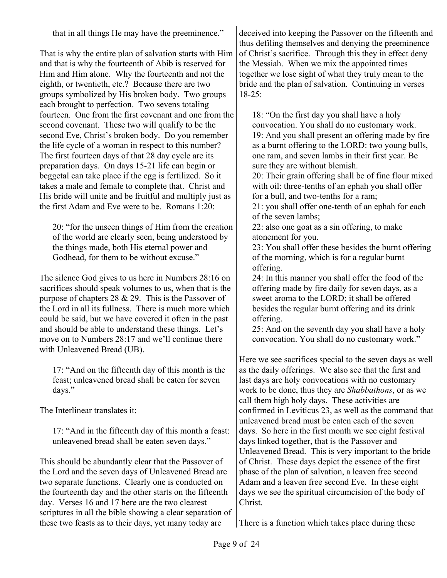that in all things He may have the preeminence."

That is why the entire plan of salvation starts with Him and that is why the fourteenth of Abib is reserved for Him and Him alone. Why the fourteenth and not the eighth, or twentieth, etc.? Because there are two groups symbolized by His broken body. Two groups each brought to perfection. Two sevens totaling fourteen. One from the first covenant and one from the second covenant. These two will qualify to be the second Eve, Christ's broken body. Do you remember the life cycle of a woman in respect to this number? The first fourteen days of that 28 day cycle are its preparation days. On days 15-21 life can begin or beggetal can take place if the egg is fertilized. So it takes a male and female to complete that. Christ and His bride will unite and be fruitful and multiply just as the first Adam and Eve were to be. Romans 1:20:

20: "for the unseen things of Him from the creation of the world are clearly seen, being understood by the things made, both His eternal power and Godhead, for them to be without excuse."

The silence God gives to us here in Numbers 28:16 on sacrifices should speak volumes to us, when that is the purpose of chapters 28 & 29. This is the Passover of the Lord in all its fullness. There is much more which could be said, but we have covered it often in the past and should be able to understand these things. Let's move on to Numbers 28:17 and we'll continue there with Unleavened Bread (UB).

17: "And on the fifteenth day of this month is the feast; unleavened bread shall be eaten for seven days."

The Interlinear translates it:

17: "And in the fifteenth day of this month a feast: unleavened bread shall be eaten seven days."

This should be abundantly clear that the Passover of the Lord and the seven days of Unleavened Bread are two separate functions. Clearly one is conducted on the fourteenth day and the other starts on the fifteenth day. Verses 16 and 17 here are the two clearest scriptures in all the bible showing a clear separation of these two feasts as to their days, yet many today are

deceived into keeping the Passover on the fifteenth and thus defiling themselves and denying the preeminence of Christ's sacrifice. Through this they in effect deny the Messiah. When we mix the appointed times together we lose sight of what they truly mean to the bride and the plan of salvation. Continuing in verses  $18-25$ :

18: "On the first day you shall have a holy convocation. You shall do no customary work. 19: And you shall present an offering made by fire as a burnt offering to the LORD: two young bulls, one ram, and seven lambs in their first year. Be sure they are without blemish.

20: Their grain offering shall be of fine flour mixed with oil: three-tenths of an ephah you shall offer for a bull, and two-tenths for a ram;

21: you shall offer one-tenth of an ephah for each of the seven lambs;

22: also one goat as a sin offering, to make atonement for you.

23: You shall offer these besides the burnt offering of the morning, which is for a regular burnt offering.

24: In this manner you shall offer the food of the offering made by fire daily for seven days, as a sweet aroma to the LORD; it shall be offered besides the regular burnt offering and its drink offering.

25: And on the seventh day you shall have a holy convocation. You shall do no customary work."

Here we see sacrifices special to the seven days as well as the daily offerings. We also see that the first and last days are holy convocations with no customary work to be done, thus they are *Shabbathons*, or as we call them high holy days. These activities are confirmed in Leviticus 23, as well as the command that unleavened bread must be eaten each of the seven days. So here in the first month we see eight festival days linked together, that is the Passover and Unleavened Bread. This is very important to the bride of Christ. These days depict the essence of the first phase of the plan of salvation, a leaven free second Adam and a leaven free second Eve. In these eight days we see the spiritual circumcision of the body of Christ.

There is a function which takes place during these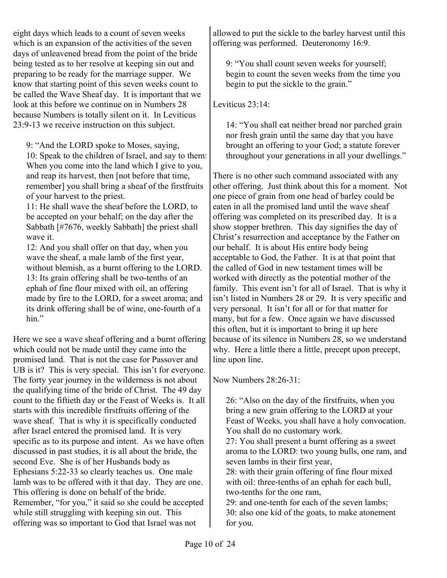eight days which leads to a count of seven weeks which is an expansion of the activities of the seven days of unleavened bread from the point of the bride being tested as to her resolve at keeping sin out and preparing to be ready for the marriage supper. We know that starting point of this seven weeks count to be called the Wave Sheaf day. It is important that we look at this before we continue on in Numbers 28 because Numbers is totally silent on it. In Leviticus 23:9-13 we receive instruction on this subject.

9: "And the LORD spoke to Moses, saying,

10: Speak to the children of Israel, and say to them: When you come into the land which I give to you, and reap its harvest, then [not before that time, remember] you shall bring a sheaf of the firstfruits of your harvest to the priest.

11: He shall wave the sheaf before the LORD, to be accepted on your behalf; on the day after the Sabbath [#7676, weekly Sabbath] the priest shall wave it.

12: And you shall offer on that day, when you wave the sheaf, a male lamb of the first year, without blemish, as a burnt offering to the LORD. 13: Its grain offering shall be two-tenths of an ephah of fine flour mixed with oil, an offering made by fire to the LORD, for a sweet aroma; and its drink offering shall be of wine, one-fourth of a hin."

Here we see a wave sheaf offering and a burnt offering which could not be made until they came into the promised land. That is not the case for Passover and UB is it? This is very special. This isn't for everyone. The forty year journey in the wilderness is not about the qualifying time of the bride of Christ. The 49 day count to the fiftieth day or the Feast of Weeks is. It all starts with this incredible firstfruits offering of the wave sheaf. That is why it is specifically conducted after Israel entered the promised land. It is very specific as to its purpose and intent. As we have often discussed in past studies, it is all about the bride, the second Eve. She is of her Husbands body as Ephesians 5:22-33 so clearly teaches us. One male lamb was to be offered with it that day. They are one. This offering is done on behalf of the bride. Remember, "for you," it said so she could be accepted while still struggling with keeping sin out. This offering was so important to God that Israel was not

allowed to put the sickle to the barley harvest until this offering was performed. Deuteronomy 16:9.

9: "You shall count seven weeks for yourself; begin to count the seven weeks from the time you begin to put the sickle to the grain."

Leviticus 23:14:

14: "You shall eat neither bread nor parched grain nor fresh grain until the same day that you have brought an offering to your God; a statute forever throughout your generations in all your dwellings."

There is no other such command associated with any other offering. Just think about this for a moment. Not one piece of grain from one head of barley could be eaten in all the promised land until the wave sheaf offering was completed on its prescribed day. It is a show stopper brethren. This day signifies the day of Christ's resurrection and acceptance by the Father on our behalf. It is about His entire body being acceptable to God, the Father. It is at that point that the called of God in new testament times will be worked with directly as the potential mother of the family. This event isn't for all of Israel. That is why it isn't listed in Numbers 28 or 29. It is very specific and very personal. It isn't for all or for that matter for many, but for a few. Once again we have discussed this often, but it is important to bring it up here because of its silence in Numbers 28, so we understand why. Here a little there a little, precept upon precept, line upon line.

Now Numbers 28:26-31:

26: "Also on the day of the firstfruits, when you bring a new grain offering to the LORD at your Feast of Weeks, you shall have a holy convocation. You shall do no customary work. 27: You shall present a burnt offering as a sweet aroma to the LORD: two young bulls, one ram, and seven lambs in their first year, 28: with their grain offering of fine flour mixed with oil: three-tenths of an ephah for each bull, two-tenths for the one ram, 29: and one-tenth for each of the seven lambs; 30: also one kid of the goats, to make atonement

for you.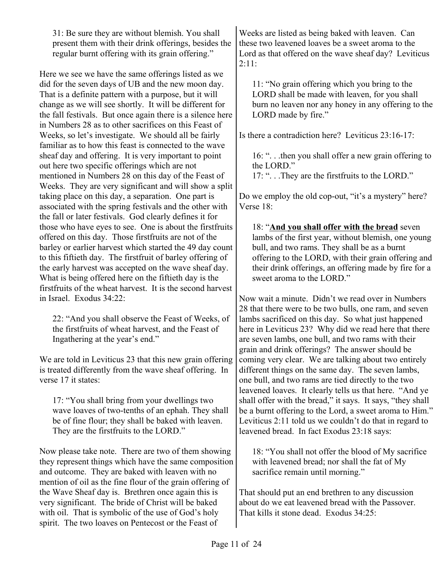31: Be sure they are without blemish. You shall present them with their drink offerings, besides the regular burnt offering with its grain offering."

Here we see we have the same offerings listed as we did for the seven days of UB and the new moon day. That is a definite pattern with a purpose, but it will change as we will see shortly. It will be different for the fall festivals. But once again there is a silence here in Numbers 28 as to other sacrifices on this Feast of Weeks, so let's investigate. We should all be fairly familiar as to how this feast is connected to the wave sheaf day and offering. It is very important to point out here two specific offerings which are not mentioned in Numbers 28 on this day of the Feast of Weeks. They are very significant and will show a split taking place on this day, a separation. One part is associated with the spring festivals and the other with the fall or later festivals. God clearly defines it for those who have eyes to see. One is about the firstfruits offered on this day. Those firstfruits are not of the barley or earlier harvest which started the 49 day count to this fiftieth day. The firstfruit of barley offering of the early harvest was accepted on the wave sheaf day. What is being offered here on the fiftieth day is the firstfruits of the wheat harvest. It is the second harvest in Israel. Exodus 34:22:

22: "And you shall observe the Feast of Weeks, of the firstfruits of wheat harvest, and the Feast of Ingathering at the year's end."

We are told in Leviticus 23 that this new grain offering is treated differently from the wave sheaf offering. In verse 17 it states:

17: "You shall bring from your dwellings two wave loaves of two-tenths of an ephah. They shall be of fine flour; they shall be baked with leaven. They are the firstfruits to the LORD."

Now please take note. There are two of them showing they represent things which have the same composition and outcome. They are baked with leaven with no mention of oil as the fine flour of the grain offering of the Wave Sheaf day is. Brethren once again this is very significant. The bride of Christ will be baked with oil. That is symbolic of the use of God's holy spirit. The two loaves on Pentecost or the Feast of

Weeks are listed as being baked with leaven. Can these two leavened loaves be a sweet aroma to the Lord as that offered on the wave sheaf day? Leviticus 2:11:

11: "No grain offering which you bring to the LORD shall be made with leaven, for you shall burn no leaven nor any honey in any offering to the LORD made by fire."

Is there a contradiction here? Leviticus 23:16-17:

16: ". . .then you shall offer a new grain offering to the LORD."

17: ". . .They are the firstfruits to the LORD."

Do we employ the old cop-out, "it's a mystery" here? Verse 18:

18: "**And you shall offer with the bread** seven lambs of the first year, without blemish, one young bull, and two rams. They shall be as a burnt offering to the LORD, with their grain offering and their drink offerings, an offering made by fire for a sweet aroma to the LORD."

Now wait a minute. Didn't we read over in Numbers 28 that there were to be two bulls, one ram, and seven lambs sacrificed on this day. So what just happened here in Leviticus 23? Why did we read here that there are seven lambs, one bull, and two rams with their grain and drink offerings? The answer should be coming very clear. We are talking about two entirely different things on the same day. The seven lambs, one bull, and two rams are tied directly to the two leavened loaves. It clearly tells us that here. "And ye shall offer with the bread," it says. It says, "they shall be a burnt offering to the Lord, a sweet aroma to Him." Leviticus 2:11 told us we couldn't do that in regard to leavened bread. In fact Exodus 23:18 says:

18: "You shall not offer the blood of My sacrifice with leavened bread; nor shall the fat of My sacrifice remain until morning."

That should put an end brethren to any discussion about do we eat leavened bread with the Passover. That kills it stone dead. Exodus 34:25: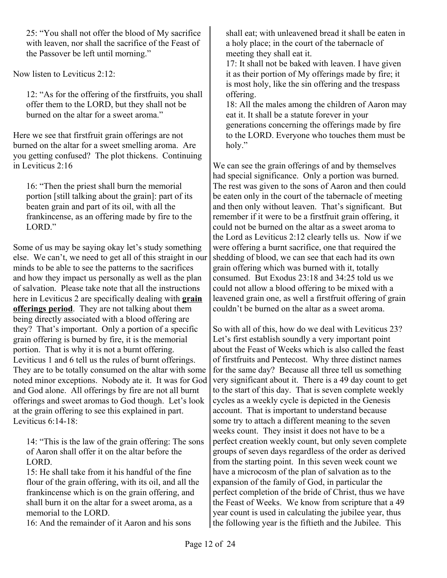25: "You shall not offer the blood of My sacrifice with leaven, nor shall the sacrifice of the Feast of the Passover be left until morning."

Now listen to Leviticus 2:12:

12: "As for the offering of the firstfruits, you shall offer them to the LORD, but they shall not be burned on the altar for a sweet aroma."

Here we see that firstfruit grain offerings are not burned on the altar for a sweet smelling aroma. Are you getting confused? The plot thickens. Continuing in Leviticus 2:16

16: "Then the priest shall burn the memorial portion [still talking about the grain]: part of its beaten grain and part of its oil, with all the frankincense, as an offering made by fire to the LORD."

Some of us may be saying okay let's study something else. We can't, we need to get all of this straight in our minds to be able to see the patterns to the sacrifices and how they impact us personally as well as the plan of salvation. Please take note that all the instructions here in Leviticus 2 are specifically dealing with **grain offerings period**. They are not talking about them being directly associated with a blood offering are they? That's important. Only a portion of a specific grain offering is burned by fire, it is the memorial portion. That is why it is not a burnt offering. Leviticus 1 and 6 tell us the rules of burnt offerings. They are to be totally consumed on the altar with some noted minor exceptions. Nobody ate it. It was for God and God alone. All offerings by fire are not all burnt offerings and sweet aromas to God though. Let's look at the grain offering to see this explained in part. Leviticus 6:14-18:

14: "This is the law of the grain offering: The sons of Aaron shall offer it on the altar before the LORD.

15: He shall take from it his handful of the fine flour of the grain offering, with its oil, and all the frankincense which is on the grain offering, and shall burn it on the altar for a sweet aroma, as a memorial to the LORD.

16: And the remainder of it Aaron and his sons

shall eat; with unleavened bread it shall be eaten in a holy place; in the court of the tabernacle of meeting they shall eat it.

17: It shall not be baked with leaven. I have given it as their portion of My offerings made by fire; it is most holy, like the sin offering and the trespass offering.

18: All the males among the children of Aaron may eat it. It shall be a statute forever in your generations concerning the offerings made by fire to the LORD. Everyone who touches them must be holy."

We can see the grain offerings of and by themselves had special significance. Only a portion was burned. The rest was given to the sons of Aaron and then could be eaten only in the court of the tabernacle of meeting and then only without leaven. That's significant. But remember if it were to be a firstfruit grain offering, it could not be burned on the altar as a sweet aroma to the Lord as Leviticus 2:12 clearly tells us. Now if we were offering a burnt sacrifice, one that required the shedding of blood, we can see that each had its own grain offering which was burned with it, totally consumed. But Exodus 23:18 and 34:25 told us we could not allow a blood offering to be mixed with a leavened grain one, as well a firstfruit offering of grain couldn't be burned on the altar as a sweet aroma.

So with all of this, how do we deal with Leviticus 23? Let's first establish soundly a very important point about the Feast of Weeks which is also called the feast of firstfruits and Pentecost. Why three distinct names for the same day? Because all three tell us something very significant about it. There is a 49 day count to get to the start of this day. That is seven complete weekly cycles as a weekly cycle is depicted in the Genesis account. That is important to understand because some try to attach a different meaning to the seven weeks count. They insist it does not have to be a perfect creation weekly count, but only seven complete groups of seven days regardless of the order as derived from the starting point. In this seven week count we have a microcosm of the plan of salvation as to the expansion of the family of God, in particular the perfect completion of the bride of Christ, thus we have the Feast of Weeks. We know from scripture that a 49 year count is used in calculating the jubilee year, thus the following year is the fiftieth and the Jubilee. This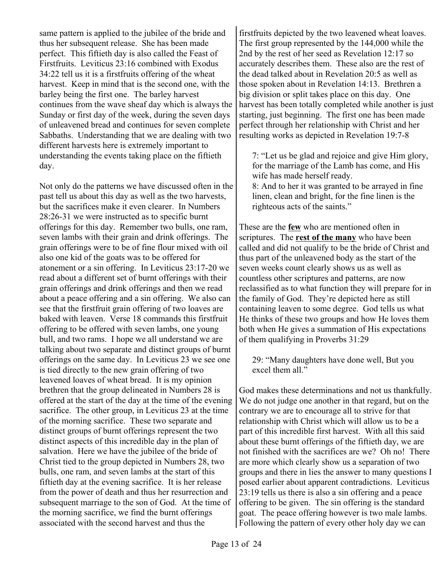same pattern is applied to the jubilee of the bride and thus her subsequent release. She has been made perfect. This fiftieth day is also called the Feast of Firstfruits. Leviticus 23:16 combined with Exodus 34:22 tell us it is a firstfruits offering of the wheat harvest. Keep in mind that is the second one, with the barley being the first one. The barley harvest continues from the wave sheaf day which is always the Sunday or first day of the week, during the seven days of unleavened bread and continues for seven complete Sabbaths. Understanding that we are dealing with two different harvests here is extremely important to understanding the events taking place on the fiftieth day.

Not only do the patterns we have discussed often in the past tell us about this day as well as the two harvests, but the sacrifices make it even clearer. In Numbers 28:26-31 we were instructed as to specific burnt offerings for this day. Remember two bulls, one ram, seven lambs with their grain and drink offerings. The grain offerings were to be of fine flour mixed with oil also one kid of the goats was to be offered for atonement or a sin offering. In Leviticus 23:17-20 we read about a different set of burnt offerings with their grain offerings and drink offerings and then we read about a peace offering and a sin offering. We also can see that the firstfruit grain offering of two loaves are baked with leaven. Verse 18 commands this firstfruit offering to be offered with seven lambs, one young bull, and two rams. I hope we all understand we are talking about two separate and distinct groups of burnt offerings on the same day. In Leviticus 23 we see one is tied directly to the new grain offering of two leavened loaves of wheat bread. It is my opinion brethren that the group delineated in Numbers 28 is offered at the start of the day at the time of the evening sacrifice. The other group, in Leviticus 23 at the time of the morning sacrifice. These two separate and distinct groups of burnt offerings represent the two distinct aspects of this incredible day in the plan of salvation. Here we have the jubilee of the bride of Christ tied to the group depicted in Numbers 28, two bulls, one ram, and seven lambs at the start of this fiftieth day at the evening sacrifice. It is her release from the power of death and thus her resurrection and subsequent marriage to the son of God. At the time of the morning sacrifice, we find the burnt offerings associated with the second harvest and thus the

firstfruits depicted by the two leavened wheat loaves. The first group represented by the 144,000 while the 2nd by the rest of her seed as Revelation 12:17 so accurately describes them. These also are the rest of the dead talked about in Revelation 20:5 as well as those spoken about in Revelation 14:13. Brethren a big division or split takes place on this day. One harvest has been totally completed while another is just starting, just beginning. The first one has been made perfect through her relationship with Christ and her resulting works as depicted in Revelation 19:7-8

7: "Let us be glad and rejoice and give Him glory, for the marriage of the Lamb has come, and His wife has made herself ready.

8: And to her it was granted to be arrayed in fine linen, clean and bright, for the fine linen is the righteous acts of the saints."

These are the **few** who are mentioned often in scriptures. The **rest of the many** who have been called and did not qualify to be the bride of Christ and thus part of the unleavened body as the start of the seven weeks count clearly shows us as well as countless other scriptures and patterns, are now reclassified as to what function they will prepare for in the family of God. They're depicted here as still containing leaven to some degree. God tells us what He thinks of these two groups and how He loves them both when He gives a summation of His expectations of them qualifying in Proverbs 31:29

29: "Many daughters have done well, But you excel them all."

God makes these determinations and not us thankfully. We do not judge one another in that regard, but on the contrary we are to encourage all to strive for that relationship with Christ which will allow us to be a part of this incredible first harvest. With all this said about these burnt offerings of the fiftieth day, we are not finished with the sacrifices are we? Oh no! There are more which clearly show us a separation of two groups and there in lies the answer to many questions I posed earlier about apparent contradictions. Leviticus 23:19 tells us there is also a sin offering and a peace offering to be given. The sin offering is the standard goat. The peace offering however is two male lambs. Following the pattern of every other holy day we can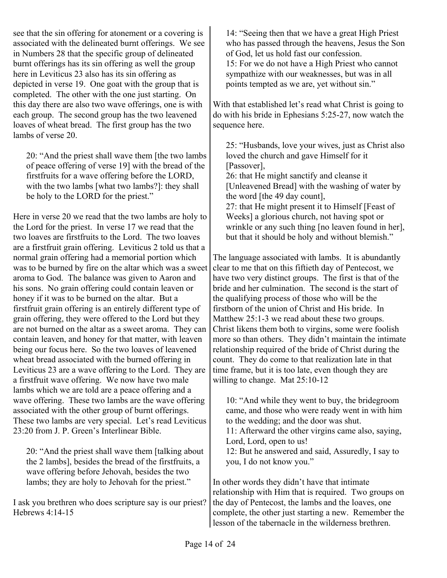see that the sin offering for atonement or a covering is associated with the delineated burnt offerings. We see in Numbers 28 that the specific group of delineated burnt offerings has its sin offering as well the group here in Leviticus 23 also has its sin offering as depicted in verse 19. One goat with the group that is completed. The other with the one just starting. On this day there are also two wave offerings, one is with each group. The second group has the two leavened loaves of wheat bread. The first group has the two lambs of verse 20.

20: "And the priest shall wave them [the two lambs of peace offering of verse 19] with the bread of the firstfruits for a wave offering before the LORD, with the two lambs [what two lambs?]: they shall be holy to the LORD for the priest."

Here in verse 20 we read that the two lambs are holy to the Lord for the priest. In verse 17 we read that the two loaves are firstfruits to the Lord. The two loaves are a firstfruit grain offering. Leviticus 2 told us that a normal grain offering had a memorial portion which was to be burned by fire on the altar which was a sweet aroma to God. The balance was given to Aaron and his sons. No grain offering could contain leaven or honey if it was to be burned on the altar. But a firstfruit grain offering is an entirely different type of grain offering, they were offered to the Lord but they are not burned on the altar as a sweet aroma. They can contain leaven, and honey for that matter, with leaven being our focus here. So the two loaves of leavened wheat bread associated with the burned offering in Leviticus 23 are a wave offering to the Lord. They are a firstfruit wave offering. We now have two male lambs which we are told are a peace offering and a wave offering. These two lambs are the wave offering associated with the other group of burnt offerings. These two lambs are very special. Let's read Leviticus 23:20 from J. P. Green's Interlinear Bible.

20: "And the priest shall wave them [talking about the 2 lambs], besides the bread of the firstfruits, a wave offering before Jehovah, besides the two lambs; they are holy to Jehovah for the priest."

I ask you brethren who does scripture say is our priest? Hebrews 4:14-15

14: "Seeing then that we have a great High Priest who has passed through the heavens, Jesus the Son of God, let us hold fast our confession. 15: For we do not have a High Priest who cannot sympathize with our weaknesses, but was in all points tempted as we are, yet without sin."

With that established let's read what Christ is going to do with his bride in Ephesians 5:25-27, now watch the sequence here.

25: "Husbands, love your wives, just as Christ also loved the church and gave Himself for it [Passover].

26: that He might sanctify and cleanse it [Unleavened Bread] with the washing of water by the word [the 49 day count],

27: that He might present it to Himself [Feast of Weeks] a glorious church, not having spot or wrinkle or any such thing [no leaven found in her], but that it should be holy and without blemish."

The language associated with lambs. It is abundantly clear to me that on this fiftieth day of Pentecost, we have two very distinct groups. The first is that of the bride and her culmination. The second is the start of the qualifying process of those who will be the firstborn of the union of Christ and His bride. In Matthew 25:1-3 we read about these two groups. Christ likens them both to virgins, some were foolish more so than others. They didn't maintain the intimate relationship required of the bride of Christ during the count. They do come to that realization late in that time frame, but it is too late, even though they are willing to change. Mat 25:10-12

10: "And while they went to buy, the bridegroom came, and those who were ready went in with him to the wedding; and the door was shut. 11: Afterward the other virgins came also, saying, Lord, Lord, open to us! 12: But he answered and said, Assuredly, I say to you, I do not know you."

In other words they didn't have that intimate relationship with Him that is required. Two groups on the day of Pentecost, the lambs and the loaves, one complete, the other just starting a new. Remember the lesson of the tabernacle in the wilderness brethren.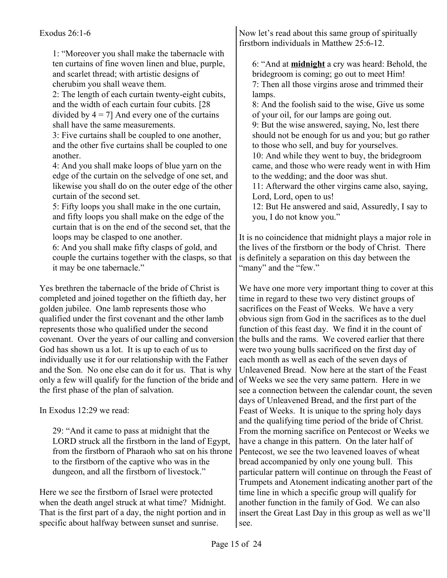1: "Moreover you shall make the tabernacle with ten curtains of fine woven linen and blue, purple, and scarlet thread; with artistic designs of cherubim you shall weave them.

2: The length of each curtain twenty-eight cubits, and the width of each curtain four cubits. [28 divided by  $4 = 7$ ] And every one of the curtains shall have the same measurements.

3: Five curtains shall be coupled to one another, and the other five curtains shall be coupled to one another.

4: And you shall make loops of blue yarn on the edge of the curtain on the selvedge of one set, and likewise you shall do on the outer edge of the other curtain of the second set.

5: Fifty loops you shall make in the one curtain, and fifty loops you shall make on the edge of the curtain that is on the end of the second set, that the loops may be clasped to one another.

6: And you shall make fifty clasps of gold, and couple the curtains together with the clasps, so that it may be one tabernacle."

Yes brethren the tabernacle of the bride of Christ is completed and joined together on the fiftieth day, her golden jubilee. One lamb represents those who qualified under the first covenant and the other lamb represents those who qualified under the second covenant. Over the years of our calling and conversion God has shown us a lot. It is up to each of us to individually use it for our relationship with the Father and the Son. No one else can do it for us. That is why only a few will qualify for the function of the bride and the first phase of the plan of salvation.

In Exodus 12:29 we read:

29: "And it came to pass at midnight that the LORD struck all the firstborn in the land of Egypt, from the firstborn of Pharaoh who sat on his throne to the firstborn of the captive who was in the dungeon, and all the firstborn of livestock."

Here we see the firstborn of Israel were protected when the death angel struck at what time? Midnight. That is the first part of a day, the night portion and in specific about halfway between sunset and sunrise.

Now let's read about this same group of spiritually firstborn individuals in Matthew 25:6-12.

6: "And at **midnight** a cry was heard: Behold, the bridegroom is coming; go out to meet Him! 7: Then all those virgins arose and trimmed their lamps.

8: And the foolish said to the wise, Give us some of your oil, for our lamps are going out.

9: But the wise answered, saying, No, lest there should not be enough for us and you; but go rather to those who sell, and buy for yourselves.

10: And while they went to buy, the bridegroom came, and those who were ready went in with Him to the wedding; and the door was shut.

11: Afterward the other virgins came also, saying, Lord, Lord, open to us!

12: But He answered and said, Assuredly, I say to you, I do not know you."

It is no coincidence that midnight plays a major role in the lives of the firstborn or the body of Christ. There is definitely a separation on this day between the "many" and the "few."

We have one more very important thing to cover at this time in regard to these two very distinct groups of sacrifices on the Feast of Weeks. We have a very obvious sign from God in the sacrifices as to the duel function of this feast day. We find it in the count of the bulls and the rams. We covered earlier that there were two young bulls sacrificed on the first day of each month as well as each of the seven days of Unleavened Bread. Now here at the start of the Feast of Weeks we see the very same pattern. Here in we see a connection between the calendar count, the seven days of Unleavened Bread, and the first part of the Feast of Weeks. It is unique to the spring holy days and the qualifying time period of the bride of Christ. From the morning sacrifice on Pentecost or Weeks we have a change in this pattern. On the later half of Pentecost, we see the two leavened loaves of wheat bread accompanied by only one young bull. This particular pattern will continue on through the Feast of Trumpets and Atonement indicating another part of the time line in which a specific group will qualify for another function in the family of God. We can also insert the Great Last Day in this group as well as we'll see.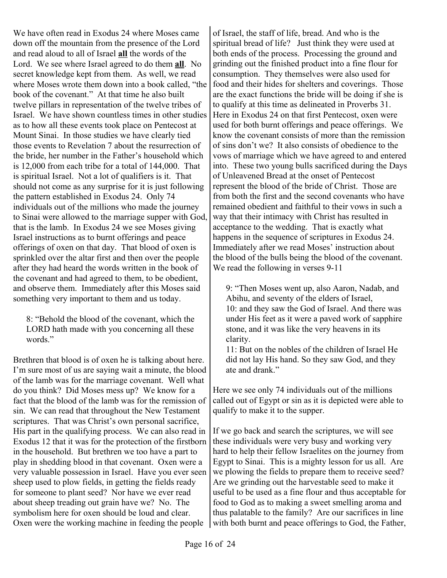We have often read in Exodus 24 where Moses came down off the mountain from the presence of the Lord and read aloud to all of Israel **all** the words of the Lord. We see where Israel agreed to do them **all**. No secret knowledge kept from them. As well, we read where Moses wrote them down into a book called, "the book of the covenant." At that time he also built twelve pillars in representation of the twelve tribes of Israel. We have shown countless times in other studies as to how all these events took place on Pentecost at Mount Sinai. In those studies we have clearly tied those events to Revelation 7 about the resurrection of the bride, her number in the Father's household which is 12,000 from each tribe for a total of 144,000. That is spiritual Israel. Not a lot of qualifiers is it. That should not come as any surprise for it is just following the pattern established in Exodus 24. Only 74 individuals out of the millions who made the journey to Sinai were allowed to the marriage supper with God, that is the lamb. In Exodus 24 we see Moses giving Israel instructions as to burnt offerings and peace offerings of oxen on that day. That blood of oxen is sprinkled over the altar first and then over the people after they had heard the words written in the book of the covenant and had agreed to them, to be obedient, and observe them. Immediately after this Moses said something very important to them and us today.

8: "Behold the blood of the covenant, which the LORD hath made with you concerning all these words."

Brethren that blood is of oxen he is talking about here. I'm sure most of us are saying wait a minute, the blood of the lamb was for the marriage covenant. Well what do you think? Did Moses mess up? We know for a fact that the blood of the lamb was for the remission of sin. We can read that throughout the New Testament scriptures. That was Christ's own personal sacrifice, His part in the qualifying process. We can also read in Exodus 12 that it was for the protection of the firstborn in the household. But brethren we too have a part to play in shedding blood in that covenant. Oxen were a very valuable possession in Israel. Have you ever seen sheep used to plow fields, in getting the fields ready for someone to plant seed? Nor have we ever read about sheep treading out grain have we? No. The symbolism here for oxen should be loud and clear. Oxen were the working machine in feeding the people

of Israel, the staff of life, bread. And who is the spiritual bread of life? Just think they were used at both ends of the process. Processing the ground and grinding out the finished product into a fine flour for consumption. They themselves were also used for food and their hides for shelters and coverings. Those are the exact functions the bride will be doing if she is to qualify at this time as delineated in Proverbs 31. Here in Exodus 24 on that first Pentecost, oxen were used for both burnt offerings and peace offerings. We know the covenant consists of more than the remission of sins don't we? It also consists of obedience to the vows of marriage which we have agreed to and entered into. These two young bulls sacrificed during the Days of Unleavened Bread at the onset of Pentecost represent the blood of the bride of Christ. Those are from both the first and the second covenants who have remained obedient and faithful to their vows in such a way that their intimacy with Christ has resulted in acceptance to the wedding. That is exactly what happens in the sequence of scriptures in Exodus 24. Immediately after we read Moses' instruction about the blood of the bulls being the blood of the covenant. We read the following in verses 9-11

9: "Then Moses went up, also Aaron, Nadab, and Abihu, and seventy of the elders of Israel, 10: and they saw the God of Israel. And there was under His feet as it were a paved work of sapphire stone, and it was like the very heavens in its clarity.

11: But on the nobles of the children of Israel He did not lay His hand. So they saw God, and they ate and drank."

Here we see only 74 individuals out of the millions called out of Egypt or sin as it is depicted were able to qualify to make it to the supper.

If we go back and search the scriptures, we will see these individuals were very busy and working very hard to help their fellow Israelites on the journey from Egypt to Sinai. This is a mighty lesson for us all. Are we plowing the fields to prepare them to receive seed? Are we grinding out the harvestable seed to make it useful to be used as a fine flour and thus acceptable for food to God as to making a sweet smelling aroma and thus palatable to the family? Are our sacrifices in line with both burnt and peace offerings to God, the Father,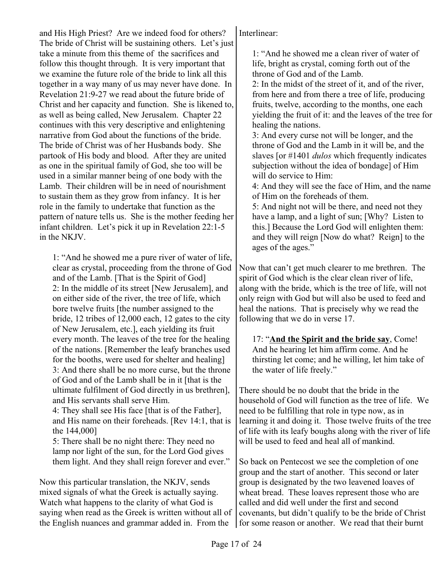and His High Priest? Are we indeed food for others? The bride of Christ will be sustaining others. Let's just take a minute from this theme of the sacrifices and follow this thought through. It is very important that we examine the future role of the bride to link all this together in a way many of us may never have done. In Revelation 21:9-27 we read about the future bride of Christ and her capacity and function. She is likened to, as well as being called, New Jerusalem. Chapter 22 continues with this very descriptive and enlightening narrative from God about the functions of the bride. The bride of Christ was of her Husbands body. She partook of His body and blood. After they are united as one in the spiritual family of God, she too will be used in a similar manner being of one body with the Lamb. Their children will be in need of nourishment to sustain them as they grow from infancy. It is her role in the family to undertake that function as the pattern of nature tells us. She is the mother feeding her infant children. Let's pick it up in Revelation 22:1-5 in the NKJV.

1: "And he showed me a pure river of water of life, clear as crystal, proceeding from the throne of God and of the Lamb. [That is the Spirit of God] 2: In the middle of its street [New Jerusalem], and on either side of the river, the tree of life, which bore twelve fruits [the number assigned to the bride, 12 tribes of 12,000 each, 12 gates to the city of New Jerusalem, etc.], each yielding its fruit every month. The leaves of the tree for the healing of the nations. [Remember the leafy branches used for the booths, were used for shelter and healing] 3: And there shall be no more curse, but the throne of God and of the Lamb shall be in it [that is the ultimate fulfilment of God directly in us brethren], and His servants shall serve Him.

4: They shall see His face [that is of the Father], and His name on their foreheads. [Rev 14:1, that is the 144,000]

5: There shall be no night there: They need no lamp nor light of the sun, for the Lord God gives them light. And they shall reign forever and ever."

Now this particular translation, the NKJV, sends mixed signals of what the Greek is actually saying. Watch what happens to the clarity of what God is saying when read as the Greek is written without all of the English nuances and grammar added in. From the

Interlinear:

1: "And he showed me a clean river of water of life, bright as crystal, coming forth out of the throne of God and of the Lamb.

2: In the midst of the street of it, and of the river, from here and from there a tree of life, producing fruits, twelve, according to the months, one each yielding the fruit of it: and the leaves of the tree for healing the nations.

3: And every curse not will be longer, and the throne of God and the Lamb in it will be, and the slaves [or #1401 *dulos* which frequently indicates subjection without the idea of bondage] of Him will do service to Him:

4: And they will see the face of Him, and the name of Him on the foreheads of them.

5: And night not will be there, and need not they have a lamp, and a light of sun; [Why? Listen to this.] Because the Lord God will enlighten them: and they will reign [Now do what? Reign] to the ages of the ages."

Now that can't get much clearer to me brethren. The spirit of God which is the clear clean river of life, along with the bride, which is the tree of life, will not only reign with God but will also be used to feed and heal the nations. That is precisely why we read the following that we do in verse 17.

17: "**And the Spirit and the bride say**, Come! And he hearing let him affirm come. And he thirsting let come; and he willing, let him take of the water of life freely."

There should be no doubt that the bride in the household of God will function as the tree of life. We need to be fulfilling that role in type now, as in learning it and doing it. Those twelve fruits of the tree of life with its leafy boughs along with the river of life will be used to feed and heal all of mankind.

So back on Pentecost we see the completion of one group and the start of another. This second or later group is designated by the two leavened loaves of wheat bread. These loaves represent those who are called and did well under the first and second covenants, but didn't qualify to be the bride of Christ for some reason or another. We read that their burnt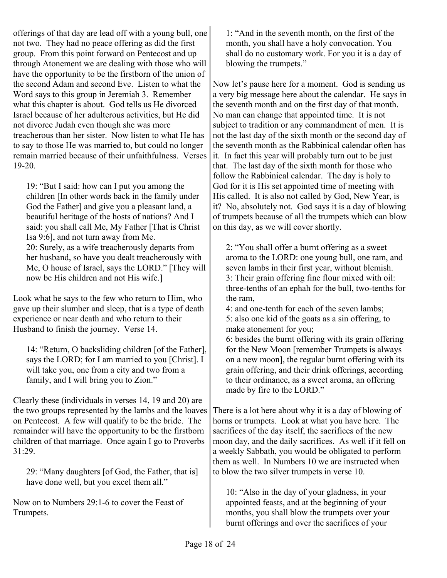offerings of that day are lead off with a young bull, one not two. They had no peace offering as did the first group. From this point forward on Pentecost and up through Atonement we are dealing with those who will have the opportunity to be the firstborn of the union of the second Adam and second Eve. Listen to what the Word says to this group in Jeremiah 3. Remember what this chapter is about. God tells us He divorced Israel because of her adulterous activities, but He did not divorce Judah even though she was more treacherous than her sister. Now listen to what He has to say to those He was married to, but could no longer remain married because of their unfaithfulness. Verses 19-20.

19: "But I said: how can I put you among the children [In other words back in the family under God the Father] and give you a pleasant land, a beautiful heritage of the hosts of nations? And I said: you shall call Me, My Father [That is Christ Isa 9:6], and not turn away from Me. 20: Surely, as a wife treacherously departs from her husband, so have you dealt treacherously with Me, O house of Israel, says the LORD." [They will now be His children and not His wife.]

Look what he says to the few who return to Him, who gave up their slumber and sleep, that is a type of death experience or near death and who return to their Husband to finish the journey. Verse 14.

14: "Return, O backsliding children [of the Father], says the LORD; for I am married to you [Christ]. I will take you, one from a city and two from a family, and I will bring you to Zion."

Clearly these (individuals in verses 14, 19 and 20) are the two groups represented by the lambs and the loaves on Pentecost. A few will qualify to be the bride. The remainder will have the opportunity to be the firstborn children of that marriage. Once again I go to Proverbs 31:29.

29: "Many daughters [of God, the Father, that is] have done well, but you excel them all."

Now on to Numbers 29:1-6 to cover the Feast of Trumpets.

1: "And in the seventh month, on the first of the month, you shall have a holy convocation. You shall do no customary work. For you it is a day of blowing the trumpets."

Now let's pause here for a moment. God is sending us a very big message here about the calendar. He says in the seventh month and on the first day of that month. No man can change that appointed time. It is not subject to tradition or any commandment of men. It is not the last day of the sixth month or the second day of the seventh month as the Rabbinical calendar often has it. In fact this year will probably turn out to be just that. The last day of the sixth month for those who follow the Rabbinical calendar. The day is holy to God for it is His set appointed time of meeting with His called. It is also not called by God, New Year, is it? No, absolutely not. God says it is a day of blowing of trumpets because of all the trumpets which can blow on this day, as we will cover shortly.

2: "You shall offer a burnt offering as a sweet aroma to the LORD: one young bull, one ram, and seven lambs in their first year, without blemish. 3: Their grain offering fine flour mixed with oil: three-tenths of an ephah for the bull, two-tenths for the ram,

4: and one-tenth for each of the seven lambs; 5: also one kid of the goats as a sin offering, to make atonement for you;

6: besides the burnt offering with its grain offering for the New Moon [remember Trumpets is always on a new moon], the regular burnt offering with its grain offering, and their drink offerings, according to their ordinance, as a sweet aroma, an offering made by fire to the LORD."

There is a lot here about why it is a day of blowing of horns or trumpets. Look at what you have here. The sacrifices of the day itself, the sacrifices of the new moon day, and the daily sacrifices. As well if it fell on a weekly Sabbath, you would be obligated to perform them as well. In Numbers 10 we are instructed when to blow the two silver trumpets in verse 10.

10: "Also in the day of your gladness, in your appointed feasts, and at the beginning of your months, you shall blow the trumpets over your burnt offerings and over the sacrifices of your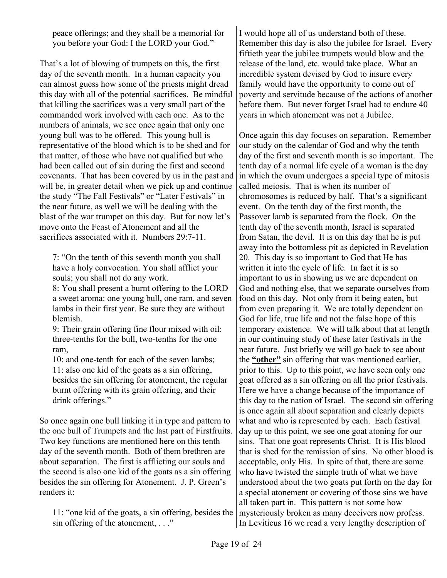peace offerings; and they shall be a memorial for you before your God: I the LORD your God."

That's a lot of blowing of trumpets on this, the first day of the seventh month. In a human capacity you can almost guess how some of the priests might dread this day with all of the potential sacrifices. Be mindful that killing the sacrifices was a very small part of the commanded work involved with each one. As to the numbers of animals, we see once again that only one young bull was to be offered. This young bull is representative of the blood which is to be shed and for that matter, of those who have not qualified but who had been called out of sin during the first and second covenants. That has been covered by us in the past and will be, in greater detail when we pick up and continue the study "The Fall Festivals" or "Later Festivals" in the near future, as well we will be dealing with the blast of the war trumpet on this day. But for now let's move onto the Feast of Atonement and all the sacrifices associated with it. Numbers 29:7-11.

7: "On the tenth of this seventh month you shall have a holy convocation. You shall afflict your souls; you shall not do any work.

8: You shall present a burnt offering to the LORD a sweet aroma: one young bull, one ram, and seven lambs in their first year. Be sure they are without blemish.

9: Their grain offering fine flour mixed with oil: three-tenths for the bull, two-tenths for the one ram,

10: and one-tenth for each of the seven lambs; 11: also one kid of the goats as a sin offering, besides the sin offering for atonement, the regular burnt offering with its grain offering, and their drink offerings."

So once again one bull linking it in type and pattern to the one bull of Trumpets and the last part of Firstfruits. Two key functions are mentioned here on this tenth day of the seventh month. Both of them brethren are about separation. The first is afflicting our souls and the second is also one kid of the goats as a sin offering besides the sin offering for Atonement. J. P. Green's renders it:

11: "one kid of the goats, a sin offering, besides the sin offering of the atonement, ..."

I would hope all of us understand both of these. Remember this day is also the jubilee for Israel. Every fiftieth year the jubilee trumpets would blow and the release of the land, etc. would take place. What an incredible system devised by God to insure every family would have the opportunity to come out of poverty and servitude because of the actions of another before them. But never forget Israel had to endure 40 years in which atonement was not a Jubilee.

Once again this day focuses on separation. Remember our study on the calendar of God and why the tenth day of the first and seventh month is so important. The tenth day of a normal life cycle of a woman is the day in which the ovum undergoes a special type of mitosis called meiosis. That is when its number of chromosomes is reduced by half. That's a significant event. On the tenth day of the first month, the Passover lamb is separated from the flock. On the tenth day of the seventh month, Israel is separated from Satan, the devil. It is on this day that he is put away into the bottomless pit as depicted in Revelation 20. This day is so important to God that He has written it into the cycle of life. In fact it is so important to us in showing us we are dependent on God and nothing else, that we separate ourselves from food on this day. Not only from it being eaten, but from even preparing it. We are totally dependent on God for life, true life and not the false hope of this temporary existence. We will talk about that at length in our continuing study of these later festivals in the near future. Just briefly we will go back to see about the **"other"** sin offering that was mentioned earlier, prior to this. Up to this point, we have seen only one goat offered as a sin offering on all the prior festivals. Here we have a change because of the importance of this day to the nation of Israel. The second sin offering is once again all about separation and clearly depicts what and who is represented by each. Each festival day up to this point, we see one goat atoning for our sins. That one goat represents Christ. It is His blood that is shed for the remission of sins. No other blood is acceptable, only His. In spite of that, there are some who have twisted the simple truth of what we have understood about the two goats put forth on the day for a special atonement or covering of those sins we have all taken part in. This pattern is not some how mysteriously broken as many deceivers now profess. In Leviticus 16 we read a very lengthy description of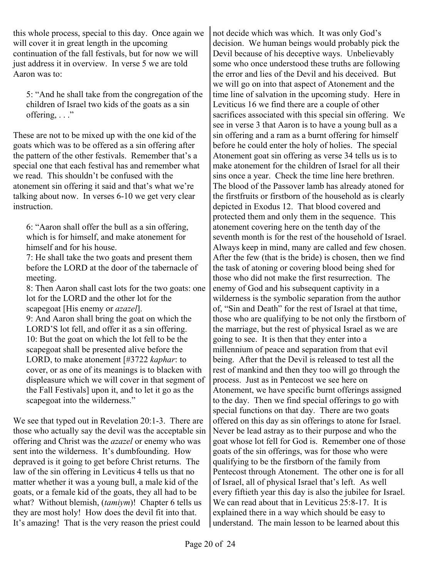this whole process, special to this day. Once again we will cover it in great length in the upcoming continuation of the fall festivals, but for now we will just address it in overview. In verse 5 we are told Aaron was to:

5: "And he shall take from the congregation of the children of Israel two kids of the goats as a sin offering,  $\ldots$ "

These are not to be mixed up with the one kid of the goats which was to be offered as a sin offering after the pattern of the other festivals. Remember that's a special one that each festival has and remember what we read. This shouldn't be confused with the atonement sin offering it said and that's what we're talking about now. In verses 6-10 we get very clear instruction.

6: "Aaron shall offer the bull as a sin offering, which is for himself, and make atonement for himself and for his house.

7: He shall take the two goats and present them before the LORD at the door of the tabernacle of meeting.

8: Then Aaron shall cast lots for the two goats: one lot for the LORD and the other lot for the scapegoat [His enemy or *azazel*].

9: And Aaron shall bring the goat on which the LORD'S lot fell, and offer it as a sin offering. 10: But the goat on which the lot fell to be the scapegoat shall be presented alive before the LORD, to make atonement [#3722 *kaphar*: to cover, or as one of its meanings is to blacken with displeasure which we will cover in that segment of the Fall Festivals] upon it, and to let it go as the scapegoat into the wilderness."

We see that typed out in Revelation 20:1-3. There are those who actually say the devil was the acceptable sin offering and Christ was the *azazel* or enemy who was sent into the wilderness. It's dumbfounding. How depraved is it going to get before Christ returns. The law of the sin offering in Leviticus 4 tells us that no matter whether it was a young bull, a male kid of the goats, or a female kid of the goats, they all had to be what? Without blemish, (*tamiym*)! Chapter 6 tells us they are most holy! How does the devil fit into that. It's amazing! That is the very reason the priest could

not decide which was which. It was only God's decision. We human beings would probably pick the Devil because of his deceptive ways. Unbelievably some who once understood these truths are following the error and lies of the Devil and his deceived. But we will go on into that aspect of Atonement and the time line of salvation in the upcoming study. Here in Leviticus 16 we find there are a couple of other sacrifices associated with this special sin offering. We see in verse 3 that Aaron is to have a young bull as a sin offering and a ram as a burnt offering for himself before he could enter the holy of holies. The special Atonement goat sin offering as verse 34 tells us is to make atonement for the children of Israel for all their sins once a year. Check the time line here brethren. The blood of the Passover lamb has already atoned for the firstfruits or firstborn of the household as is clearly depicted in Exodus 12. That blood covered and protected them and only them in the sequence. This atonement covering here on the tenth day of the seventh month is for the rest of the household of Israel. Always keep in mind, many are called and few chosen. After the few (that is the bride) is chosen, then we find the task of atoning or covering blood being shed for those who did not make the first resurrection. The enemy of God and his subsequent captivity in a wilderness is the symbolic separation from the author of, "Sin and Death" for the rest of Israel at that time, those who are qualifying to be not only the firstborn of the marriage, but the rest of physical Israel as we are going to see. It is then that they enter into a millennium of peace and separation from that evil being. After that the Devil is released to test all the rest of mankind and then they too will go through the process. Just as in Pentecost we see here on Atonement, we have specific burnt offerings assigned to the day. Then we find special offerings to go with special functions on that day. There are two goats offered on this day as sin offerings to atone for Israel. Never be lead astray as to their purpose and who the goat whose lot fell for God is. Remember one of those goats of the sin offerings, was for those who were qualifying to be the firstborn of the family from Pentecost through Atonement. The other one is for all of Israel, all of physical Israel that's left. As well every fiftieth year this day is also the jubilee for Israel. We can read about that in Leviticus 25:8-17. It is explained there in a way which should be easy to understand. The main lesson to be learned about this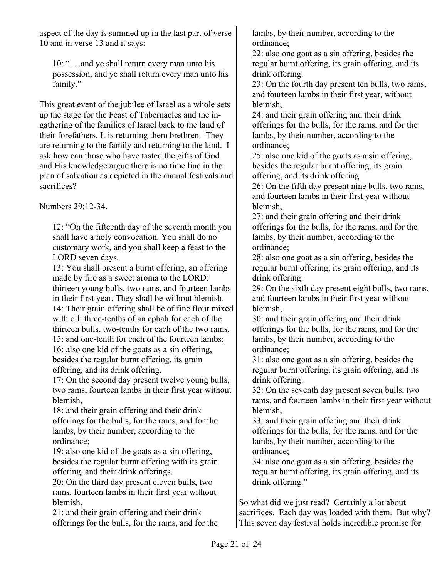aspect of the day is summed up in the last part of verse 10 and in verse 13 and it says:

10: ". . .and ye shall return every man unto his possession, and ye shall return every man unto his family."

This great event of the jubilee of Israel as a whole sets up the stage for the Feast of Tabernacles and the ingathering of the families of Israel back to the land of their forefathers. It is returning them brethren. They are returning to the family and returning to the land. I ask how can those who have tasted the gifts of God and His knowledge argue there is no time line in the plan of salvation as depicted in the annual festivals and sacrifices?

Numbers 29:12-34.

12: "On the fifteenth day of the seventh month you shall have a holy convocation. You shall do no customary work, and you shall keep a feast to the LORD seven days.

13: You shall present a burnt offering, an offering made by fire as a sweet aroma to the LORD: thirteen young bulls, two rams, and fourteen lambs in their first year. They shall be without blemish. 14: Their grain offering shall be of fine flour mixed with oil: three-tenths of an ephah for each of the thirteen bulls, two-tenths for each of the two rams, 15: and one-tenth for each of the fourteen lambs; 16: also one kid of the goats as a sin offering,

besides the regular burnt offering, its grain offering, and its drink offering.

17: On the second day present twelve young bulls, two rams, fourteen lambs in their first year without blemish,

18: and their grain offering and their drink offerings for the bulls, for the rams, and for the lambs, by their number, according to the ordinance;

19: also one kid of the goats as a sin offering, besides the regular burnt offering with its grain offering, and their drink offerings.

20: On the third day present eleven bulls, two rams, fourteen lambs in their first year without blemish,

21: and their grain offering and their drink offerings for the bulls, for the rams, and for the lambs, by their number, according to the ordinance;

22: also one goat as a sin offering, besides the regular burnt offering, its grain offering, and its drink offering.

23: On the fourth day present ten bulls, two rams, and fourteen lambs in their first year, without blemish,

24: and their grain offering and their drink offerings for the bulls, for the rams, and for the lambs, by their number, according to the ordinance;

25: also one kid of the goats as a sin offering, besides the regular burnt offering, its grain offering, and its drink offering.

26: On the fifth day present nine bulls, two rams, and fourteen lambs in their first year without blemish,

27: and their grain offering and their drink offerings for the bulls, for the rams, and for the lambs, by their number, according to the ordinance;

28: also one goat as a sin offering, besides the regular burnt offering, its grain offering, and its drink offering.

29: On the sixth day present eight bulls, two rams, and fourteen lambs in their first year without blemish,

30: and their grain offering and their drink offerings for the bulls, for the rams, and for the lambs, by their number, according to the ordinance;

31: also one goat as a sin offering, besides the regular burnt offering, its grain offering, and its drink offering.

32: On the seventh day present seven bulls, two rams, and fourteen lambs in their first year without blemish,

33: and their grain offering and their drink offerings for the bulls, for the rams, and for the lambs, by their number, according to the ordinance;

34: also one goat as a sin offering, besides the regular burnt offering, its grain offering, and its drink offering."

So what did we just read? Certainly a lot about sacrifices. Each day was loaded with them. But why? This seven day festival holds incredible promise for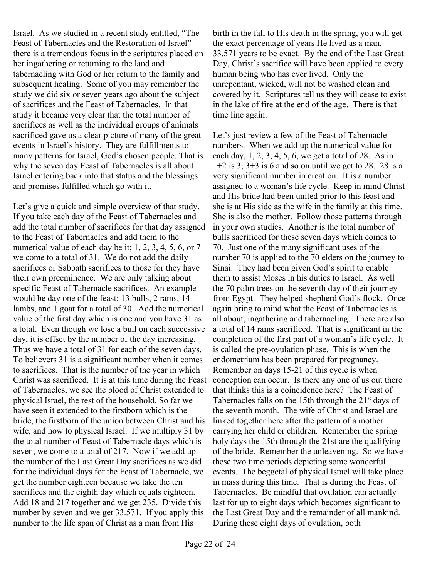Israel. As we studied in a recent study entitled, "The Feast of Tabernacles and the Restoration of Israel" there is a tremendous focus in the scriptures placed on her ingathering or returning to the land and tabernacling with God or her return to the family and subsequent healing. Some of you may remember the study we did six or seven years ago about the subject of sacrifices and the Feast of Tabernacles. In that study it became very clear that the total number of sacrifices as well as the individual groups of animals sacrificed gave us a clear picture of many of the great events in Israel's history. They are fulfillments to many patterns for Israel, God's chosen people. That is why the seven day Feast of Tabernacles is all about Israel entering back into that status and the blessings and promises fulfilled which go with it.

Let's give a quick and simple overview of that study. If you take each day of the Feast of Tabernacles and add the total number of sacrifices for that day assigned to the Feast of Tabernacles and add them to the numerical value of each day be it; 1, 2, 3, 4, 5, 6, or 7 we come to a total of 31. We do not add the daily sacrifices or Sabbath sacrifices to those for they have their own preeminence. We are only talking about specific Feast of Tabernacle sacrifices. An example would be day one of the feast: 13 bulls, 2 rams, 14 lambs, and 1 goat for a total of 30. Add the numerical value of the first day which is one and you have 31 as a total. Even though we lose a bull on each successive day, it is offset by the number of the day increasing. Thus we have a total of 31 for each of the seven days. To believers 31 is a significant number when it comes to sacrifices. That is the number of the year in which Christ was sacrificed. It is at this time during the Feast of Tabernacles, we see the blood of Christ extended to physical Israel, the rest of the household. So far we have seen it extended to the firstborn which is the bride, the firstborn of the union between Christ and his wife, and now to physical Israel. If we multiply 31 by the total number of Feast of Tabernacle days which is seven, we come to a total of 217. Now if we add up the number of the Last Great Day sacrifices as we did for the individual days for the Feast of Tabernacle, we get the number eighteen because we take the ten sacrifices and the eighth day which equals eighteen. Add 18 and 217 together and we get 235. Divide this number by seven and we get 33.571. If you apply this number to the life span of Christ as a man from His

birth in the fall to His death in the spring, you will get the exact percentage of years He lived as a man, 33.571 years to be exact. By the end of the Last Great Day, Christ's sacrifice will have been applied to every human being who has ever lived. Only the unrepentant, wicked, will not be washed clean and covered by it. Scriptures tell us they will cease to exist in the lake of fire at the end of the age. There is that time line again.

Let's just review a few of the Feast of Tabernacle numbers. When we add up the numerical value for each day, 1, 2, 3, 4, 5, 6, we get a total of 28. As in  $1+2$  is 3,  $3+3$  is 6 and so on until we get to 28. 28 is a very significant number in creation. It is a number assigned to a woman's life cycle. Keep in mind Christ and His bride had been united prior to this feast and she is at His side as the wife in the family at this time. She is also the mother. Follow those patterns through in your own studies. Another is the total number of bulls sacrificed for these seven days which comes to 70. Just one of the many significant uses of the number 70 is applied to the 70 elders on the journey to Sinai. They had been given God's spirit to enable them to assist Moses in his duties to Israel. As well the 70 palm trees on the seventh day of their journey from Egypt. They helped shepherd God's flock. Once again bring to mind what the Feast of Tabernacles is all about, ingathering and tabernacling. There are also a total of 14 rams sacrificed. That is significant in the completion of the first part of a woman's life cycle. It is called the pre-ovulation phase. This is when the endometrium has been prepared for pregnancy. Remember on days 15-21 of this cycle is when conception can occur. Is there any one of us out there that thinks this is a coincidence here? The Feast of Tabernacles falls on the 15th through the  $21<sup>st</sup>$  days of the seventh month. The wife of Christ and Israel are linked together here after the pattern of a mother carrying her child or children. Remember the spring holy days the 15th through the 21st are the qualifying of the bride. Remember the unleavening. So we have these two time periods depicting some wonderful events. The beggetal of physical Israel will take place in mass during this time. That is during the Feast of Tabernacles. Be mindful that ovulation can actually last for up to eight days which becomes significant to the Last Great Day and the remainder of all mankind. During these eight days of ovulation, both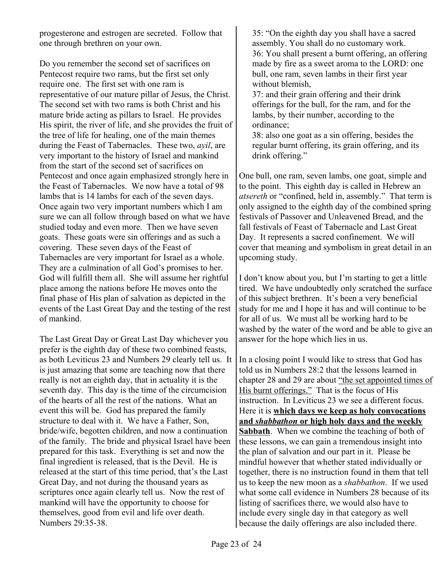progesterone and estrogen are secreted. Follow that one through brethren on your own.

Do you remember the second set of sacrifices on Pentecost require two rams, but the first set only require one. The first set with one ram is representative of our mature pillar of Jesus, the Christ. The second set with two rams is both Christ and his mature bride acting as pillars to Israel. He provides His spirit, the river of life, and she provides the fruit of the tree of life for healing, one of the main themes during the Feast of Tabernacles. These two, *ayil*, are very important to the history of Israel and mankind from the start of the second set of sacrifices on Pentecost and once again emphasized strongly here in the Feast of Tabernacles. We now have a total of 98 lambs that is 14 lambs for each of the seven days. Once again two very important numbers which I am sure we can all follow through based on what we have studied today and even more. Then we have seven goats. These goats were sin offerings and as such a covering. These seven days of the Feast of Tabernacles are very important for Israel as a whole. They are a culmination of all God's promises to her. God will fulfill them all. She will assume her rightful place among the nations before He moves onto the final phase of His plan of salvation as depicted in the events of the Last Great Day and the testing of the rest of mankind.

The Last Great Day or Great Last Day whichever you prefer is the eighth day of these two combined feasts, as both Leviticus 23 and Numbers 29 clearly tell us. It is just amazing that some are teaching now that there really is not an eighth day, that in actuality it is the seventh day. This day is the time of the circumcision of the hearts of all the rest of the nations. What an event this will be. God has prepared the family structure to deal with it. We have a Father, Son, bride/wife, begotten children, and now a continuation of the family. The bride and physical Israel have been prepared for this task. Everything is set and now the final ingredient is released, that is the Devil. He is released at the start of this time period, that's the Last Great Day, and not during the thousand years as scriptures once again clearly tell us. Now the rest of mankind will have the opportunity to choose for themselves, good from evil and life over death. Numbers 29:35-38.

35: "On the eighth day you shall have a sacred assembly. You shall do no customary work. 36: You shall present a burnt offering, an offering made by fire as a sweet aroma to the LORD: one bull, one ram, seven lambs in their first year without blemish,

37: and their grain offering and their drink offerings for the bull, for the ram, and for the lambs, by their number, according to the ordinance;

38: also one goat as a sin offering, besides the regular burnt offering, its grain offering, and its drink offering."

One bull, one ram, seven lambs, one goat, simple and to the point. This eighth day is called in Hebrew an *atsereth* or "confined, held in, assembly." That term is only assigned to the eighth day of the combined spring festivals of Passover and Unleavened Bread, and the fall festivals of Feast of Tabernacle and Last Great Day. It represents a sacred confinement. We will cover that meaning and symbolism in great detail in an upcoming study.

I don't know about you, but I'm starting to get a little tired. We have undoubtedly only scratched the surface of this subject brethren. It's been a very beneficial study for me and I hope it has and will continue to be for all of us. We must all be working hard to be washed by the water of the word and be able to give an answer for the hope which lies in us.

In a closing point I would like to stress that God has told us in Numbers 28:2 that the lessons learned in chapter 28 and 29 are about "the set appointed times of His burnt offerings." That is the focus of His instruction. In Leviticus 23 we see a different focus. Here it is **which days we keep as holy convocations and** *shabbathon* **or high holy days and the weekly Sabbath**. When we combine the teaching of both of these lessons, we can gain a tremendous insight into the plan of salvation and our part in it. Please be mindful however that whether stated individually or together, there is no instruction found in them that tell us to keep the new moon as a *shabbathon*. If we used what some call evidence in Numbers 28 because of its listing of sacrifices there, we would also have to include every single day in that category as well because the daily offerings are also included there.